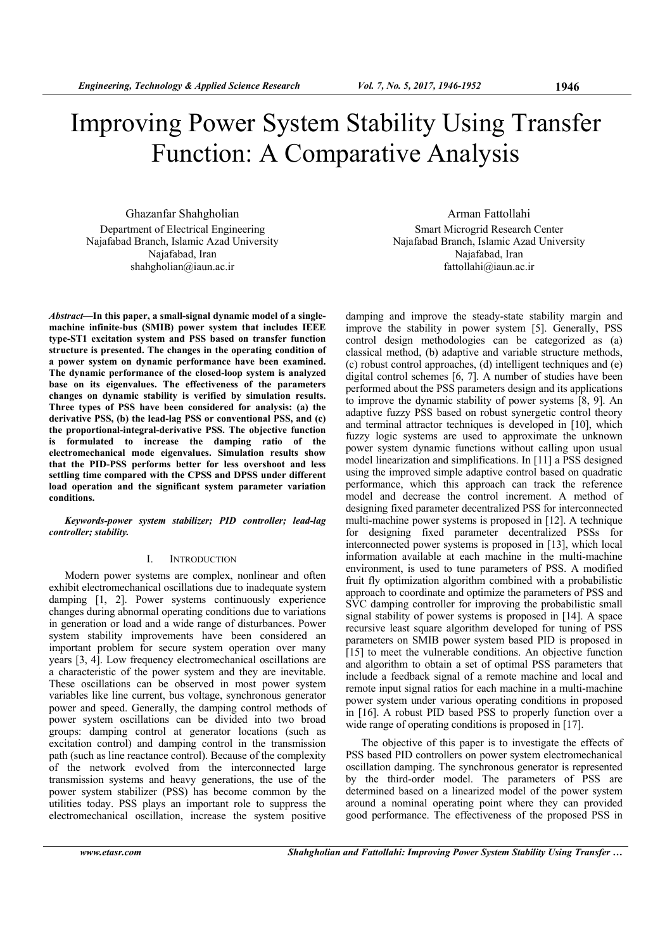# Improving Power System Stability Using Transfer Function: A Comparative Analysis

Ghazanfar Shahgholian Department of Electrical Engineering Najafabad Branch, Islamic Azad University Najafabad, Iran shahgholian@iaun.ac.ir

*Abstract***—In this paper, a small-signal dynamic model of a singlemachine infinite-bus (SMIB) power system that includes IEEE type-ST1 excitation system and PSS based on transfer function structure is presented. The changes in the operating condition of a power system on dynamic performance have been examined. The dynamic performance of the closed-loop system is analyzed base on its eigenvalues. The effectiveness of the parameters changes on dynamic stability is verified by simulation results. Three types of PSS have been considered for analysis: (a) the derivative PSS, (b) the lead-lag PSS or conventional PSS, and (c) the proportional-integral-derivative PSS. The objective function is formulated to increase the damping ratio of the electromechanical mode eigenvalues. Simulation results show that the PID-PSS performs better for less overshoot and less settling time compared with the CPSS and DPSS under different load operation and the significant system parameter variation conditions.** 

*Keywords-power system stabilizer; PID controller; lead-lag controller; stability.* 

## I. INTRODUCTION

Modern power systems are complex, nonlinear and often exhibit electromechanical oscillations due to inadequate system damping [1, 2]. Power systems continuously experience changes during abnormal operating conditions due to variations in generation or load and a wide range of disturbances. Power system stability improvements have been considered an important problem for secure system operation over many years [3, 4]. Low frequency electromechanical oscillations are a characteristic of the power system and they are inevitable. These oscillations can be observed in most power system variables like line current, bus voltage, synchronous generator power and speed. Generally, the damping control methods of power system oscillations can be divided into two broad groups: damping control at generator locations (such as excitation control) and damping control in the transmission path (such as line reactance control). Because of the complexity of the network evolved from the interconnected large transmission systems and heavy generations, the use of the power system stabilizer (PSS) has become common by the utilities today. PSS plays an important role to suppress the electromechanical oscillation, increase the system positive

Arman Fattollahi Smart Microgrid Research Center Najafabad Branch, Islamic Azad University Najafabad, Iran fattollahi@iaun.ac.ir

damping and improve the steady-state stability margin and improve the stability in power system [5]. Generally, PSS control design methodologies can be categorized as (a) classical method, (b) adaptive and variable structure methods, (c) robust control approaches, (d) intelligent techniques and (e) digital control schemes [6, 7]. A number of studies have been performed about the PSS parameters design and its applications to improve the dynamic stability of power systems [8, 9]. An adaptive fuzzy PSS based on robust synergetic control theory and terminal attractor techniques is developed in [10], which fuzzy logic systems are used to approximate the unknown power system dynamic functions without calling upon usual model linearization and simplifications. In [11] a PSS designed using the improved simple adaptive control based on quadratic performance, which this approach can track the reference model and decrease the control increment. A method of designing fixed parameter decentralized PSS for interconnected multi-machine power systems is proposed in [12]. A technique for designing fixed parameter decentralized PSSs for interconnected power systems is proposed in [13], which local information available at each machine in the multi-machine environment, is used to tune parameters of PSS. A modified fruit fly optimization algorithm combined with a probabilistic approach to coordinate and optimize the parameters of PSS and SVC damping controller for improving the probabilistic small signal stability of power systems is proposed in [14]. A space recursive least square algorithm developed for tuning of PSS parameters on SMIB power system based PID is proposed in [15] to meet the vulnerable conditions. An objective function and algorithm to obtain a set of optimal PSS parameters that include a feedback signal of a remote machine and local and remote input signal ratios for each machine in a multi-machine power system under various operating conditions in proposed in [16]. A robust PID based PSS to properly function over a wide range of operating conditions is proposed in [17].

The objective of this paper is to investigate the effects of PSS based PID controllers on power system electromechanical oscillation damping. The synchronous generator is represented by the third-order model. The parameters of PSS are determined based on a linearized model of the power system around a nominal operating point where they can provided good performance. The effectiveness of the proposed PSS in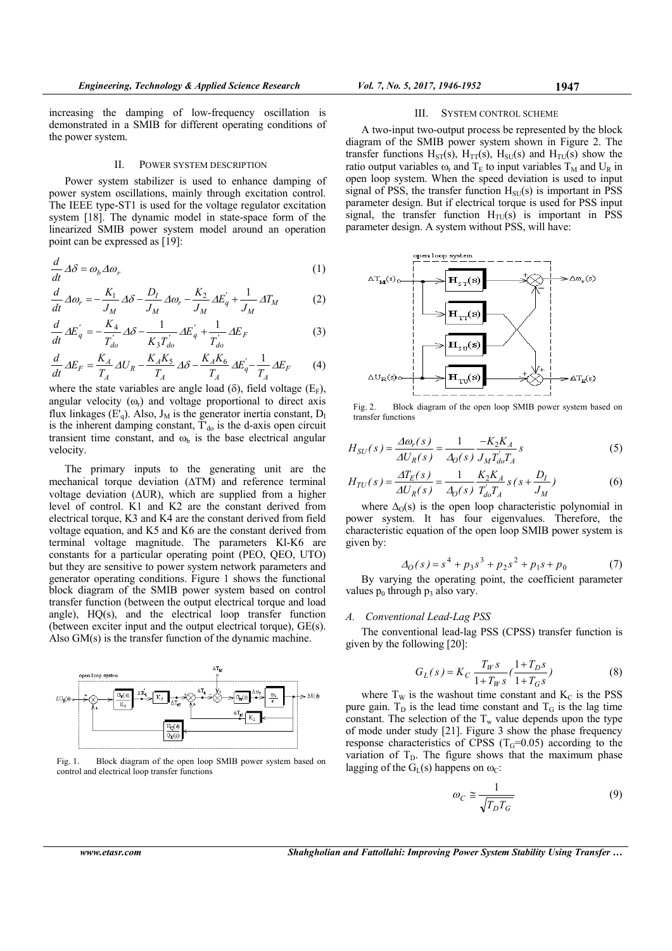increasing the damping of low-frequency oscillation is demonstrated in a SMIB for different operating conditions of the power system.

#### II. POWER SYSTEM DESCRIPTION

Power system stabilizer is used to enhance damping of power system oscillations, mainly through excitation control. The IEEE type-ST1 is used for the voltage regulator excitation system [18]. The dynamic model in state-space form of the linearized SMIB power system model around an operation point can be expressed as [19]:

$$
\frac{d}{dt}\Delta\delta = \omega_b \Delta\omega_r \tag{1}
$$

$$
\frac{d}{dt}\,\varDelta\omega_r = -\frac{K_1}{J_M}\,\varDelta\delta - \frac{D_I}{J_M}\,\varDelta\omega_r - \frac{K_2}{J_M}\,\varDelta E_q' + \frac{1}{J_M}\,\varDelta T_M\tag{2}
$$

$$
\frac{d}{dt} \Delta E'_{q} = -\frac{K_4}{T'_{do}} \Delta \delta - \frac{1}{K_3 T'_{do}} \Delta E'_{q} + \frac{1}{T'_{do}} \Delta E_F
$$
\n(3)

$$
\frac{d}{dt}\Delta E_F = \frac{K_A}{T_A}\Delta U_R - \frac{K_A K_5}{T_A}\Delta \delta - \frac{K_A K_6}{T_A}\Delta E'_q - \frac{1}{T_A}\Delta E_F
$$
 (4)

where the state variables are angle load ( $\delta$ ), field voltage ( $E_F$ ), angular velocity  $(\omega_r)$  and voltage proportional to direct axis flux linkages  $(E'_q)$ . Also,  $J_M$  is the generator inertia constant,  $D_I$ is the inherent damping constant,  $T_{d0}$  is the d-axis open circuit transient time constant, and  $\omega_b$  is the base electrical angular velocity.

The primary inputs to the generating unit are the mechanical torque deviation  $(ATM)$  and reference terminal voltage deviation ( $\triangle$ UR), which are supplied from a higher level of control. K1 and K2 are the constant derived from electrical torque, K3 and K4 are the constant derived from field voltage equation, and K5 and K6 are the constant derived from terminal voltage magnitude. The parameters Kl-K6 are constants for a particular operating point (PEO, QEO, UTO) but they are sensitive to power system network parameters and generator operating conditions. Figure 1 shows the functional block diagram of the SMIB power system based on control transfer function (between the output electrical torque and load angle), HQ(s), and the electrical loop transfer function (between exciter input and the output electrical torque), GE(s). Also GM(s) is the transfer function of the dynamic machine.



Fig. 1. Block diagram of the open loop SMIB power system based on control and electrical loop transfer functions

#### III. SYSTEM CONTROL SCHEME

A two-input two-output process be represented by the block diagram of the SMIB power system shown in Figure 2. The transfer functions  $H_{ST}(s)$ ,  $H_{TT}(s)$ ,  $H_{SU}(s)$  and  $H_{TU}(s)$  show the ratio output variables  $\omega_r$  and  $T_E$  to input variables  $T_M$  and  $U_R$  in open loop system. When the speed deviation is used to input signal of PSS, the transfer function  $H<sub>SU</sub>(s)$  is important in PSS parameter design. But if electrical torque is used for PSS input signal, the transfer function  $H_{TU}(s)$  is important in PSS parameter design. A system without PSS, will have:



Fig. 2. Block diagram of the open loop SMIB power system based on transfer functions

$$
H_{SU}(s) = \frac{\Delta \omega_r(s)}{\Delta U_R(s)} = \frac{1}{\Delta_0(s)} \frac{-K_2 K_A}{J_M T_{d0}' T_A} s
$$
(5)

$$
H_{TU}(s) = \frac{\Delta T_E(s)}{\Delta U_R(s)} = \frac{1}{\Delta_0(s)} \frac{K_2 K_A}{T_{d0}' T_A} s (s + \frac{D_I}{J_M})
$$
(6)

where  $\Delta_0(s)$  is the open loop characteristic polynomial in power system. It has four eigenvalues. Therefore, the characteristic equation of the open loop SMIB power system is given by:

$$
\Delta_O(s) = s^4 + p_3 s^3 + p_2 s^2 + p_1 s + p_0 \tag{7}
$$

By varying the operating point, the coefficient parameter values  $p_0$  through  $p_3$  also vary.

# *A. Conventional Lead-Lag PSS*

The conventional lead-lag PSS (CPSS) transfer function is given by the following [20]:

$$
G_L(s) = K_C \frac{T_W s}{1 + T_W s} \left(\frac{1 + T_D s}{1 + T_G s}\right)
$$
(8)

where  $T_W$  is the washout time constant and  $K_C$  is the PSS pure gain.  $T_D$  is the lead time constant and  $T_G$  is the lag time constant. The selection of the  $T_w$  value depends upon the type of mode under study [21]. Figure 3 show the phase frequency response characteristics of CPSS  $(T<sub>G</sub>=0.05)$  according to the variation of  $T_D$ . The figure shows that the maximum phase lagging of the  $G<sub>L</sub>(s)$  happens on  $\omega<sub>C</sub>$ :

$$
\omega_C \cong \frac{1}{\sqrt{T_D T_G}}\tag{9}
$$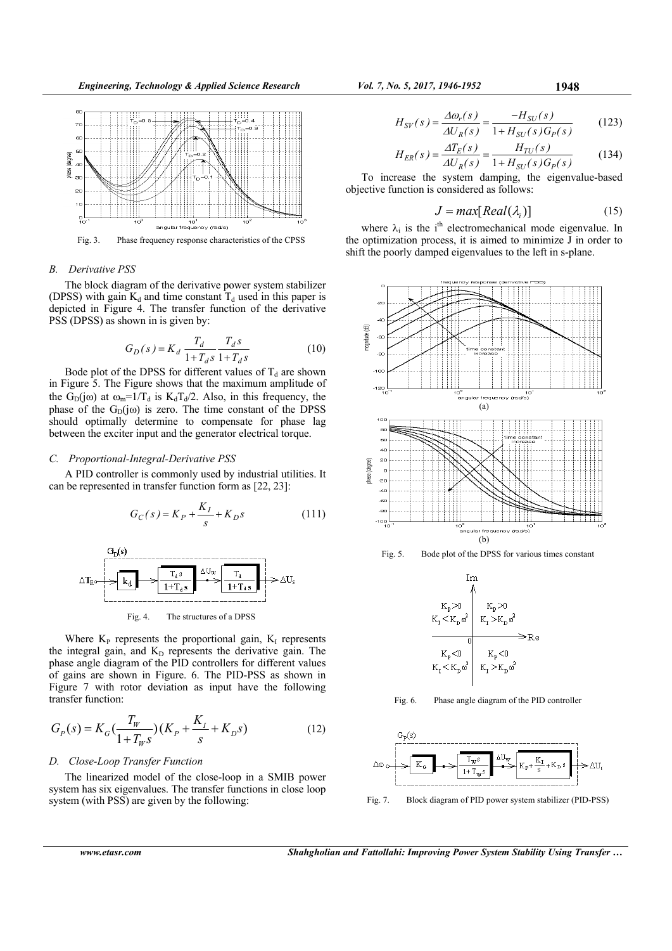

# *B. Derivative PSS*

The block diagram of the derivative power system stabilizer (DPSS) with gain  $K_d$  and time constant  $T_d$  used in this paper is depicted in Figure 4. The transfer function of the derivative PSS (DPSS) as shown in is given by:

$$
G_D(s) = K_d \frac{T_d}{1 + T_d s} \frac{T_d s}{1 + T_d s} \tag{10}
$$

Bode plot of the DPSS for different values of  $T_d$  are shown in Figure 5. The Figure shows that the maximum amplitude of the G<sub>D</sub>(jω) at  $\omega_m=1/T_d$  is K<sub>d</sub>T<sub>d</sub>/2. Also, in this frequency, the phase of the  $G_D(j\omega)$  is zero. The time constant of the DPSS should optimally determine to compensate for phase lag between the exciter input and the generator electrical torque.

# *C. Proportional-Integral-Derivative PSS*

A PID controller is commonly used by industrial utilities. It can be represented in transfer function form as [22, 23]:

$$
G_C(s) = K_P + \frac{K_I}{s} + K_D s \tag{111}
$$



Fig. 4. The structures of a DPSS

Where  $K_{P}$  represents the proportional gain,  $K_{I}$  represents the integral gain, and  $K_D$  represents the derivative gain. The phase angle diagram of the PID controllers for different values of gains are shown in Figure. 6. The PID-PSS as shown in Figure 7 with rotor deviation as input have the following transfer function:

$$
G_P(s) = K_G(\frac{T_W}{1 + T_W s})(K_P + \frac{K_I}{s} + K_D s)
$$
\n(12)

# *D. Close-Loop Transfer Function*

The linearized model of the close-loop in a SMIB power system has six eigenvalues. The transfer functions in close loop system (with PSS) are given by the following:

$$
H_{SV}(s) = \frac{\Delta \omega_r(s)}{\Delta U_R(s)} = \frac{-H_{SU}(s)}{1 + H_{SU}(s)G_P(s)}\tag{123}
$$

$$
H_{ER}(s) = \frac{\Delta T_E(s)}{\Delta U_R(s)} = \frac{H_{TU}(s)}{1 + H_{SU}(s)G_P(s)}\tag{134}
$$

To increase the system damping, the eigenvalue-based objective function is considered as follows:

$$
J = max[Real(\lambda_i)] \tag{15}
$$

where  $\lambda_i$  is the i<sup>th</sup> electromechanical mode eigenvalue. In the optimization process, it is aimed to minimize  $\bar{J}$  in order to shift the poorly damped eigenvalues to the left in s-plane.







Fig. 6. Phase angle diagram of the PID controller



Fig. 7. Block diagram of PID power system stabilizer (PID-PSS)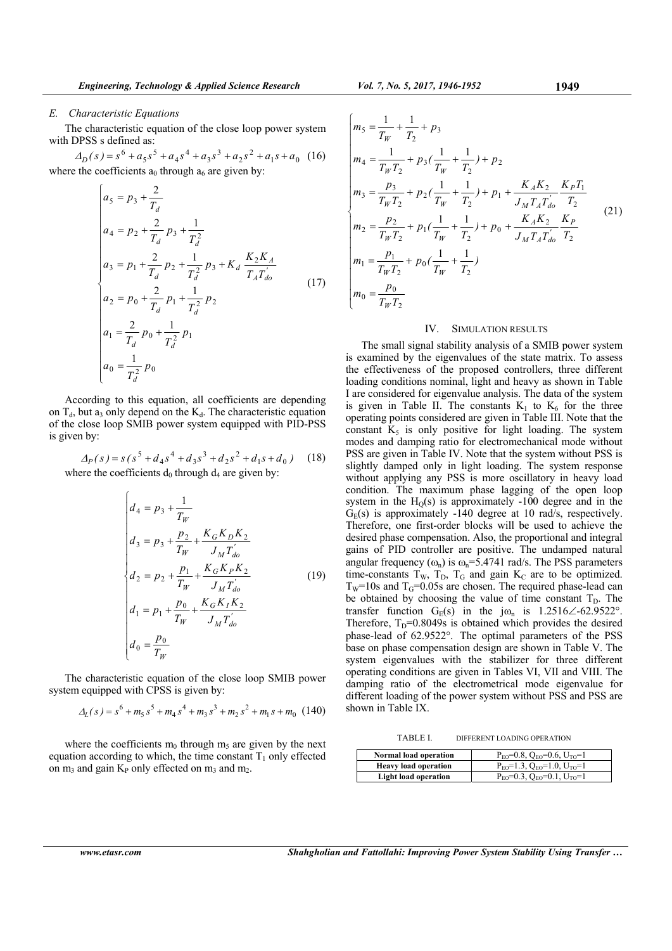# *E. Characteristic Equations*

The characteristic equation of the close loop power system with DPSS s defined as:

 $\Delta_D(s) = s^6 + a_5 s^5 + a_4 s^4 + a_3 s^3 + a_2 s^2 + a_1 s + a_0$  (16) where the coefficients  $a_0$  through  $a_6$  are given by:

$$
\begin{cases}\na_5 = p_3 + \frac{2}{T_d} \\
a_4 = p_2 + \frac{2}{T_d} p_3 + \frac{1}{T_d^2} \\
a_3 = p_1 + \frac{2}{T_d} p_2 + \frac{1}{T_d^2} p_3 + K_d \frac{K_2 K_A}{T_A T_{do}'} \\
a_2 = p_0 + \frac{2}{T_d} p_1 + \frac{1}{T_d^2} p_2 \\
a_1 = \frac{2}{T_d} p_0 + \frac{1}{T_d^2} p_1 \\
a_0 = \frac{1}{T_d^2} p_0\n\end{cases} (17)
$$

According to this equation, all coefficients are depending on  $T<sub>d</sub>$ , but a<sub>3</sub> only depend on the K<sub>d</sub>. The characteristic equation of the close loop SMIB power system equipped with PID-PSS is given by:

$$
\Delta_P(s) = s(s^5 + d_4s^4 + d_3s^3 + d_2s^2 + d_1s + d_0)
$$
 (18)  
where the coefficients d<sub>0</sub> through d<sub>4</sub> are given by:

$$
\begin{cases}\nd_4 = p_3 + \frac{1}{T_W} \\
d_3 = p_3 + \frac{p_2}{T_W} + \frac{K_G K_D K_2}{J_M T_{do}'}\n\end{cases}
$$
\n
$$
\begin{cases}\nd_2 = p_2 + \frac{p_1}{T_W} + \frac{K_G K_P K_2}{J_M T_{do}'} \\
d_1 = p_1 + \frac{p_0}{T_W} + \frac{K_G K_I K_2}{J_M T_{do}'}\n\end{cases}
$$
\n
$$
(19)
$$
\n
$$
d_0 = \frac{p_0}{T_W}
$$

The characteristic equation of the close loop SMIB power system equipped with CPSS is given by:

$$
\Delta_L(s) = s^6 + m_5 s^5 + m_4 s^4 + m_3 s^3 + m_2 s^2 + m_1 s + m_0 \quad (140)
$$

where the coefficients  $m_0$  through  $m_5$  are given by the next equation according to which, the time constant  $T_1$  only effected on  $m_3$  and gain  $K_P$  only effected on  $m_3$  and  $m_2$ .

$$
\begin{cases}\nm_5 = \frac{1}{T_W} + \frac{1}{T_2} + p_3 \\
m_4 = \frac{1}{T_W T_2} + p_3(\frac{1}{T_W} + \frac{1}{T_2}) + p_2 \\
m_3 = \frac{p_3}{T_W T_2} + p_2(\frac{1}{T_W} + \frac{1}{T_2}) + p_1 + \frac{K_A K_2}{J_M T_A T_{do}} \frac{K_P T_1}{T_2} \\
m_2 = \frac{p_2}{T_W T_2} + p_1(\frac{1}{T_W} + \frac{1}{T_2}) + p_0 + \frac{K_A K_2}{J_M T_A T_{do}} \frac{K_P}{T_2} \\
m_1 = \frac{p_1}{T_W T_2} + p_0(\frac{1}{T_W} + \frac{1}{T_2}) \\
m_0 = \frac{p_0}{T_W T_2}\n\end{cases} (21)
$$

#### IV. SIMULATION RESULTS

The small signal stability analysis of a SMIB power system is examined by the eigenvalues of the state matrix. To assess the effectiveness of the proposed controllers, three different loading conditions nominal, light and heavy as shown in Table I are considered for eigenvalue analysis. The data of the system is given in Table II. The constants  $K_1$  to  $K_6$  for the three operating points considered are given in Table III. Note that the constant  $K_5$  is only positive for light loading. The system modes and damping ratio for electromechanical mode without PSS are given in Table IV. Note that the system without PSS is slightly damped only in light loading. The system response without applying any PSS is more oscillatory in heavy load condition. The maximum phase lagging of the open loop system in the  $H<sub>O</sub>(s)$  is approximately -100 degree and in the  $G_E(s)$  is approximately -140 degree at 10 rad/s, respectively. Therefore, one first-order blocks will be used to achieve the desired phase compensation. Also, the proportional and integral gains of PID controller are positive. The undamped natural angular frequency  $(\omega_n)$  is  $\omega_n=5.4741$  rad/s. The PSS parameters time-constants  $T_W$ ,  $T_D$ ,  $T_G$  and gain  $K_C$  are to be optimized.  $T_w$ =10s and  $T_G$ =0.05s are chosen. The required phase-lead can be obtained by choosing the value of time constant  $T_D$ . The transfer function  $G_E(s)$  in the j $\omega_n$  is 1.2516 $\angle$ -62.9522°. Therefore,  $T_D=0.8049s$  is obtained which provides the desired phase-lead of 62.9522°. The optimal parameters of the PSS base on phase compensation design are shown in Table V. The system eigenvalues with the stabilizer for three different operating conditions are given in Tables VI, VII and VIII. The damping ratio of the electrometrical mode eigenvalue for different loading of the power system without PSS and PSS are shown in Table IX.

TABLE I. DIFFERENT LOADING OPERATION

| Normal load operation       | $P_{E0} = 0.8$ , $Q_{E0} = 0.6$ , $U_{TO} = 1$ |
|-----------------------------|------------------------------------------------|
| <b>Heavy load operation</b> | $P_{E0} = 1.3$ , $Q_{E0} = 1.0$ , $U_{TO} = 1$ |
| <b>Light load operation</b> | $P_{E0} = 0.3$ , $Q_{E0} = 0.1$ , $U_{TO} = 1$ |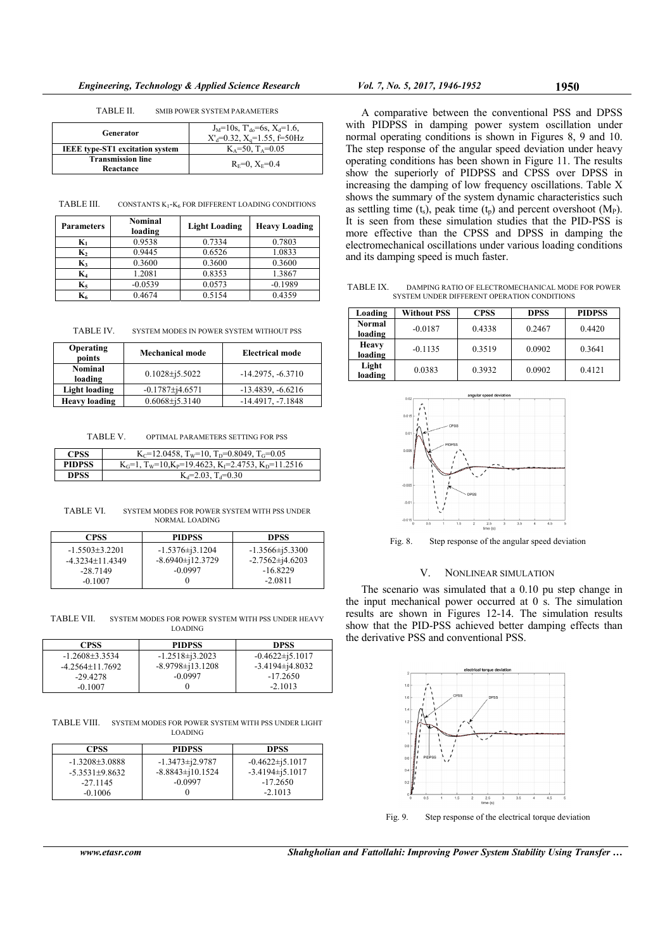TABLE II. SMIB POWER SYSTEM PARAMETERS

| Generator                              | $J_M=10s$ , $T_{do}=6s$ , $X_d=1.6$ ,<br>$X'_d = 0.32$ , $X_d = 1.55$ , f=50Hz |
|----------------------------------------|--------------------------------------------------------------------------------|
|                                        |                                                                                |
| <b>IEEE</b> type-ST1 excitation system | $K_A = 50$ , $T_A = 0.05$                                                      |
| <b>Transmission line</b><br>Reactance  | $R_F=0$ , $X_F=0.4$                                                            |

TABLE III. CONSTANTS K1-K6 FOR DIFFERENT LOADING CONDITIONS

| <b>Parameters</b> | Nominal<br>loading | <b>Light Loading</b> | <b>Heavy Loading</b> |
|-------------------|--------------------|----------------------|----------------------|
| $\mathbf{K}_1$    | 0.9538             | 0.7334               | 0.7803               |
| $K_2$             | 0.9445             | 0.6526               | 1.0833               |
| $K_3$             | 0.3600             | 0.3600               | 0.3600               |
| $\mathbf{K}_4$    | 1.2081             | 0.8353               | 1.3867               |
| $K_5$             | $-0.0539$          | 0.0573               | $-0.1989$            |
| K6                | 0.4674             | 0.5154               | 0.4359               |

TABLE IV. SYSTEM MODES IN POWER SYSTEM WITHOUT PSS

| Operating<br>points       | <b>Mechanical mode</b> | <b>Electrical mode</b> |
|---------------------------|------------------------|------------------------|
| <b>Nominal</b><br>loading | $0.1028 \pm 15.5022$   | $-14.2975, -6.3710$    |
| Light loading             | $-0.1787 \pm 14.6571$  | $-13.4839, -6.6216$    |
| <b>Heavy loading</b>      | $0.6068\pm i5.3140$    | $-14.4917, -7.1848$    |

TABLE V. OPTIMAL PARAMETERS SETTING FOR PSS

| CPSS          | K <sub>C</sub> =12.0458, T <sub>w</sub> =10, T <sub>D</sub> =0.8049, T <sub>G</sub> =0.05 |
|---------------|-------------------------------------------------------------------------------------------|
| <b>PIDPSS</b> | $K_G=1$ , $T_w=10$ , $K_P=19.4623$ , $K_I=2.4753$ , $K_D=11.2516$                         |
| DPSS          | $K_d = 2.03$ , $T_d = 0.30$                                                               |

TABLE VI. SYSTEM MODES FOR POWER SYSTEM WITH PSS UNDER NORMAL LOADING

| <b>CPSS</b>        | <b>PIDPSS</b>        | <b>DPSS</b>           |
|--------------------|----------------------|-----------------------|
| $-1.5503 + 3.2201$ | $-1.5376\pm i3.1204$ | $-1.3566 \pm i5.3300$ |
| $-4.3234+11.4349$  | $-8.6940\pm12.3729$  | $-2.7562\pm 14.6203$  |
| $-28.7149$         | $-0.0997$            | $-16.8229$            |
| $-0.1007$          |                      | $-2.0811$             |

TABLE VII. SYSTEM MODES FOR POWER SYSTEM WITH PSS UNDER HEAVY LOADING

| <b>CPSS</b>        | <b>PIDPSS</b>        | <b>DPSS</b>          |
|--------------------|----------------------|----------------------|
| $-1.2608 + 3.3534$ | $-1.2518\pm i3.2023$ | $-0.4622\pm i5.1017$ |
| $-4.2564+11.7692$  | $-8.9798\pm13.1208$  | $-3.4194\pm 14.8032$ |
| $-29.4278$         | $-0.0997$            | $-17.2650$           |
| $-0.1007$          |                      | $-2.1013$            |

TABLE VIII. SYSTEM MODES FOR POWER SYSTEM WITH PSS UNDER LIGHT LOADING

| <b>CPSS</b>        | <b>PIDPSS</b>       | <b>DPSS</b>          |
|--------------------|---------------------|----------------------|
| $-1.3208 + 3.0888$ | $-1.3473\pm 2.9787$ | $-0.4622\pm i5.1017$ |
| $-5.3531\pm9.8632$ | $-8.8843\pm10.1524$ | $-3.4194\pm i5.1017$ |
| $-27.1145$         | $-0.0997$           | $-17.2650$           |
| $-0.1006$          |                     | $-2.1013$            |

A comparative between the conventional PSS and DPSS with PIDPSS in damping power system oscillation under normal operating conditions is shown in Figures 8, 9 and 10. The step response of the angular speed deviation under heavy operating conditions has been shown in Figure 11. The results show the superiorly of PIDPSS and CPSS over DPSS in increasing the damping of low frequency oscillations. Table X shows the summary of the system dynamic characteristics such as settling time  $(t_s)$ , peak time  $(t_p)$  and percent overshoot  $(M_P)$ . It is seen from these simulation studies that the PID-PSS is more effective than the CPSS and DPSS in damping the electromechanical oscillations under various loading conditions and its damping speed is much faster.

TABLE IX. DAMPING RATIO OF ELECTROMECHANICAL MODE FOR POWER SYSTEM UNDER DIFFERENT OPERATION CONDITIONS

| Loading                 | <b>Without PSS</b> | <b>CPSS</b> | <b>DPSS</b> | <b>PIDPSS</b> |
|-------------------------|--------------------|-------------|-------------|---------------|
| Normal<br>loading       | $-0.0187$          | 0.4338      | 0.2467      | 0.4420        |
| <b>Heavy</b><br>loading | $-0.1135$          | 0.3519      | 0.0902      | 0.3641        |
| Light<br>loading        | 0.0383             | 0.3932      | 0.0902      | 0.4121        |



Fig. 8. Step response of the angular speed deviation

# V. NONLINEAR SIMULATION

The scenario was simulated that a 0.10 pu step change in the input mechanical power occurred at  $0$  s. The simulation results are shown in Figures 12-14. The simulation results show that the PID-PSS achieved better damping effects than the derivative PSS and conventional PSS.



Fig. 9. Step response of the electrical torque deviation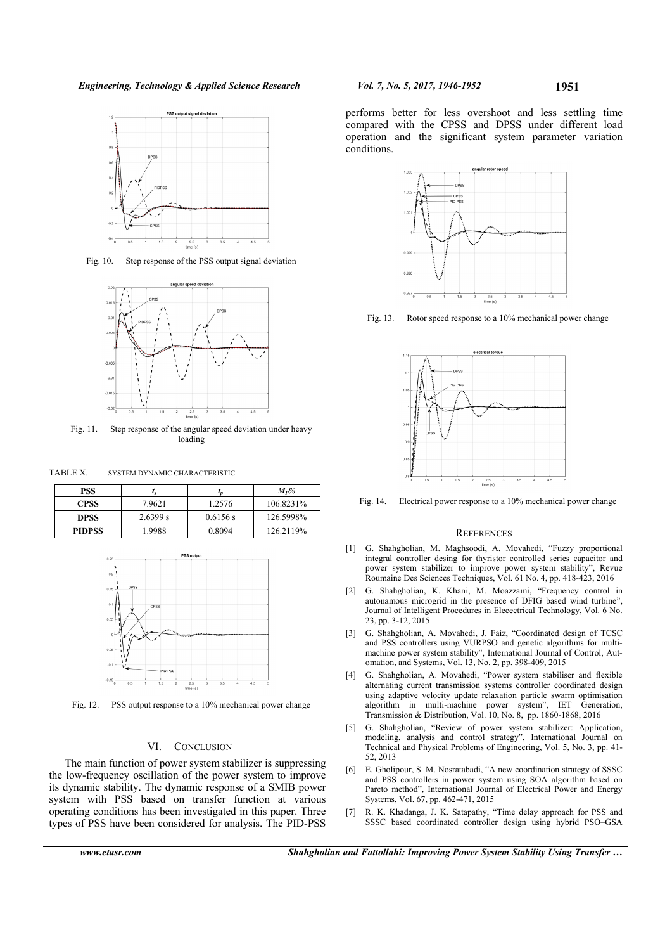

Fig. 10. Step response of the PSS output signal deviation



Fig. 11. Step response of the angular speed deviation under heavy loading

TABLE X. SYSTEM DYNAMIC CHARACTERISTIC

| PSS           | $L_{S}$  | ι <sub>Π</sub> | $M_P%$    |
|---------------|----------|----------------|-----------|
| <b>CPSS</b>   | 7.9621   | 1.2576         | 106.8231% |
| <b>DPSS</b>   | 2.6399 s | 0.6156 s       | 126.5998% |
| <b>PIDPSS</b> | 1.9988   | 0.8094         | 126.2119% |



Fig. 12. PSS output response to a 10% mechanical power change

# VI. CONCLUSION

The main function of power system stabilizer is suppressing the low-frequency oscillation of the power system to improve its dynamic stability. The dynamic response of a SMIB power system with PSS based on transfer function at various operating conditions has been investigated in this paper. Three types of PSS have been considered for analysis. The PID-PSS



performs better for less overshoot and less settling time compared with the CPSS and DPSS under different load operation and the significant system parameter variation

Fig. 13. Rotor speed response to a 10% mechanical power change



Fig. 14. Electrical power response to a 10% mechanical power change

#### **REFERENCES**

- [1] G. Shahgholian, M. Maghsoodi, A. Movahedi, "Fuzzy proportional integral controller desing for thyristor controlled series capacitor and power system stabilizer to improve power system stability", Revue Roumaine Des Sciences Techniques, Vol. 61 No. 4, pp. 418-423, 2016
- [2] G. Shahgholian, K. Khani, M. Moazzami, "Frequency control in autonamous microgrid in the presence of DFIG based wind turbine", Journal of Intelligent Procedures in Elecectrical Technology, Vol. 6 No. 23, pp. 3-12, 2015
- [3] G. Shahgholian, A. Movahedi, J. Faiz, "Coordinated design of TCSC and PSS controllers using VURPSO and genetic algorithms for multimachine power system stability", International Journal of Control, Automation, and Systems, Vol. 13, No. 2, pp. 398-409, 2015
- [4] G. Shahgholian, A. Movahedi, "Power system stabiliser and flexible alternating current transmission systems controller coordinated design using adaptive velocity update relaxation particle swarm optimisation algorithm in multi-machine power system", IET Generation, Transmission & Distribution, Vol. 10, No. 8, pp. 1860-1868, 2016
- [5] G. Shahgholian, "Review of power system stabilizer: Application, modeling, analysis and control strategy", International Journal on Technical and Physical Problems of Engineering, Vol. 5, No. 3, pp. 41- 52, 2013
- [6] E. Gholipour, S. M. Nosratabadi, "A new coordination strategy of SSSC and PSS controllers in power system using SOA algorithm based on Pareto method", International Journal of Electrical Power and Energy Systems, Vol. 67, pp. 462-471, 2015
- [7] R. K. Khadanga, J. K. Satapathy, "Time delay approach for PSS and SSSC based coordinated controller design using hybrid PSO–GSA

*www.etasr.com Shahgholian and Fattollahi: Improving Power System Stability Using Transfer …*